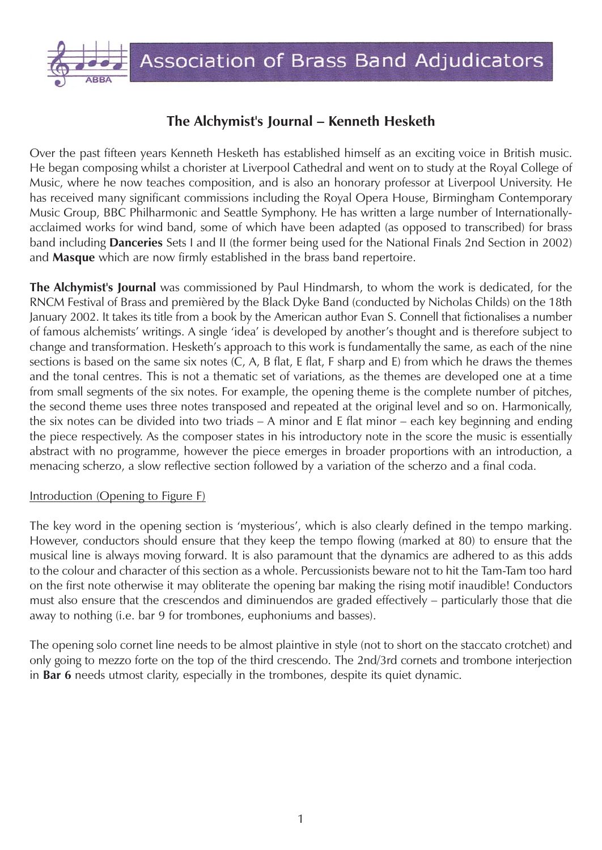

# **The Alchymist's Journal – Kenneth Hesketh**

Over the past fifteen years Kenneth Hesketh has established himself as an exciting voice in British music. He began composing whilst a chorister at Liverpool Cathedral and went on to study at the Royal College of Music, where he now teaches composition, and is also an honorary professor at Liverpool University. He has received many significant commissions including the Royal Opera House, Birmingham Contemporary Music Group, BBC Philharmonic and Seattle Symphony. He has written a large number of Internationallyacclaimed works for wind band, some of which have been adapted (as opposed to transcribed) for brass band including **Danceries** Sets I and II (the former being used for the National Finals 2nd Section in 2002) and **Masque** which are now firmly established in the brass band repertoire.

**The Alchymist's Journal** was commissioned by Paul Hindmarsh, to whom the work is dedicated, for the RNCM Festival of Brass and premièred by the Black Dyke Band (conducted by Nicholas Childs) on the 18th January 2002. It takes its title from a book by the American author Evan S. Connell that fictionalises a number of famous alchemists' writings. A single 'idea' is developed by another's thought and is therefore subject to change and transformation. Hesketh's approach to this work is fundamentally the same, as each of the nine sections is based on the same six notes (C, A, B flat, E flat, F sharp and E) from which he draws the themes and the tonal centres. This is not a thematic set of variations, as the themes are developed one at a time from small segments of the six notes. For example, the opening theme is the complete number of pitches, the second theme uses three notes transposed and repeated at the original level and so on. Harmonically, the six notes can be divided into two triads – A minor and E flat minor – each key beginning and ending the piece respectively. As the composer states in his introductory note in the score the music is essentially abstract with no programme, however the piece emerges in broader proportions with an introduction, a menacing scherzo, a slow reflective section followed by a variation of the scherzo and a final coda.

#### Introduction (Opening to Figure F)

The key word in the opening section is 'mysterious', which is also clearly defined in the tempo marking. However, conductors should ensure that they keep the tempo flowing (marked at 80) to ensure that the musical line is always moving forward. It is also paramount that the dynamics are adhered to as this adds to the colour and character of this section as a whole. Percussionists beware not to hit the Tam-Tam too hard on the first note otherwise it may obliterate the opening bar making the rising motif inaudible! Conductors must also ensure that the crescendos and diminuendos are graded effectively – particularly those that die away to nothing (i.e. bar 9 for trombones, euphoniums and basses).

The opening solo cornet line needs to be almost plaintive in style (not to short on the staccato crotchet) and only going to mezzo forte on the top of the third crescendo. The 2nd/3rd cornets and trombone interjection in **Bar 6** needs utmost clarity, especially in the trombones, despite its quiet dynamic.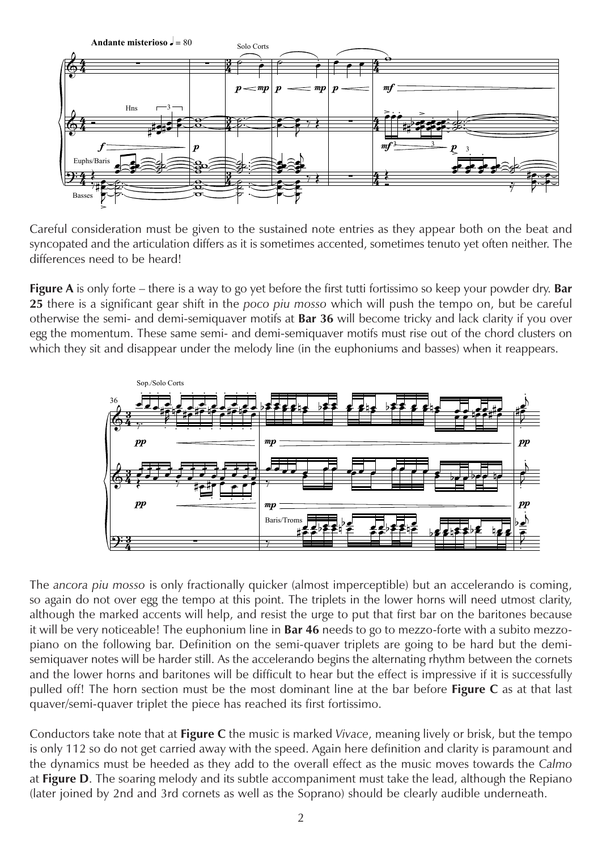

Careful consideration must be given to the sustained note entries as they appear both on the beat and syncopated and the articulation differs as it is sometimes accented, sometimes tenuto yet often neither. The differences need to be heard!

**Figure A** is only forte – there is a way to go yet before the first tutti fortissimo so keep your powder dry. **Bar 25** there is a significant gear shift in the *poco piu mosso* which will push the tempo on, but be careful otherwise the semi- and demi-semiquaver motifs at **Bar 36** will become tricky and lack clarity if you over egg the momentum. These same semi- and demi-semiquaver motifs must rise out of the chord clusters on which they sit and disappear under the melody line (in the euphoniums and basses) when it reappears.



The *ancora piu mosso* is only fractionally quicker (almost imperceptible) but an accelerando is coming, so again do not over egg the tempo at this point. The triplets in the lower horns will need utmost clarity, although the marked accents will help, and resist the urge to put that first bar on the baritones because it will be very noticeable! The euphonium line in **Bar 46** needs to go to mezzo-forte with a subito mezzopiano on the following bar. Definition on the semi-quaver triplets are going to be hard but the demisemiquaver notes will be harder still. As the accelerando begins the alternating rhythm between the cornets and the lower horns and baritones will be difficult to hear but the effect is impressive if it is successfully pulled off! The horn section must be the most dominant line at the bar before **Figure C** as at that last quaver/semi-quaver triplet the piece has reached its first fortissimo.

Conductors take note that at **Figure C** the music is marked *Vivace*, meaning lively or brisk, but the tempo is only 112 so do not get carried away with the speed. Again here definition and clarity is paramount and the dynamics must be heeded as they add to the overall effect as the music moves towards the *Calmo* at **Figure D**. The soaring melody and its subtle accompaniment must take the lead, although the Repiano (later joined by 2nd and 3rd cornets as well as the Soprano) should be clearly audible underneath.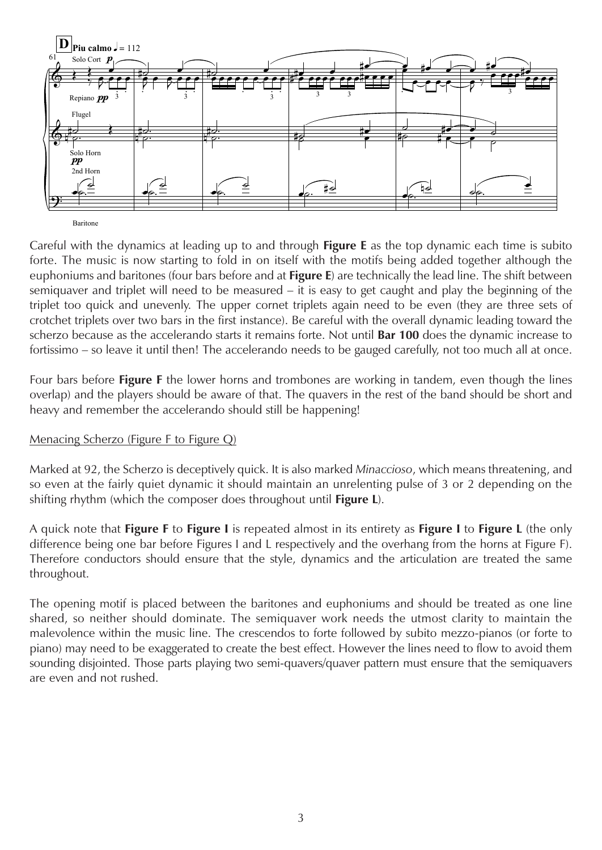

Baritone

Careful with the dynamics at leading up to and through **Figure E** as the top dynamic each time is subito forte. The music is now starting to fold in on itself with the motifs being added together although the euphoniums and baritones (four bars before and at **Figure E**) are technically the lead line. The shift between semiquaver and triplet will need to be measured – it is easy to get caught and play the beginning of the triplet too quick and unevenly. The upper cornet triplets again need to be even (they are three sets of crotchet triplets over two bars in the first instance). Be careful with the overall dynamic leading toward the scherzo because as the accelerando starts it remains forte. Not until **Bar 100** does the dynamic increase to fortissimo – so leave it until then! The accelerando needs to be gauged carefully, not too much all at once.

Four bars before **Figure F** the lower horns and trombones are working in tandem, even though the lines overlap) and the players should be aware of that. The quavers in the rest of the band should be short and heavy and remember the accelerando should still be happening!

## Menacing Scherzo (Figure F to Figure Q)

Marked at 92, the Scherzo is deceptively quick. It is also marked *Minaccioso*, which means threatening, and so even at the fairly quiet dynamic it should maintain an unrelenting pulse of 3 or 2 depending on the shifting rhythm (which the composer does throughout until **Figure L**).

A quick note that **Figure F** to **Figure I** is repeated almost in its entirety as **Figure I** to **Figure L** (the only difference being one bar before Figures I and L respectively and the overhang from the horns at Figure F). Therefore conductors should ensure that the style, dynamics and the articulation are treated the same throughout.

The opening motif is placed between the baritones and euphoniums and should be treated as one line shared, so neither should dominate. The semiquaver work needs the utmost clarity to maintain the malevolence within the music line. The crescendos to forte followed by subito mezzo-pianos (or forte to piano) may need to be exaggerated to create the best effect. However the lines need to flow to avoid them sounding disjointed. Those parts playing two semi-quavers/quaver pattern must ensure that the semiquavers are even and not rushed.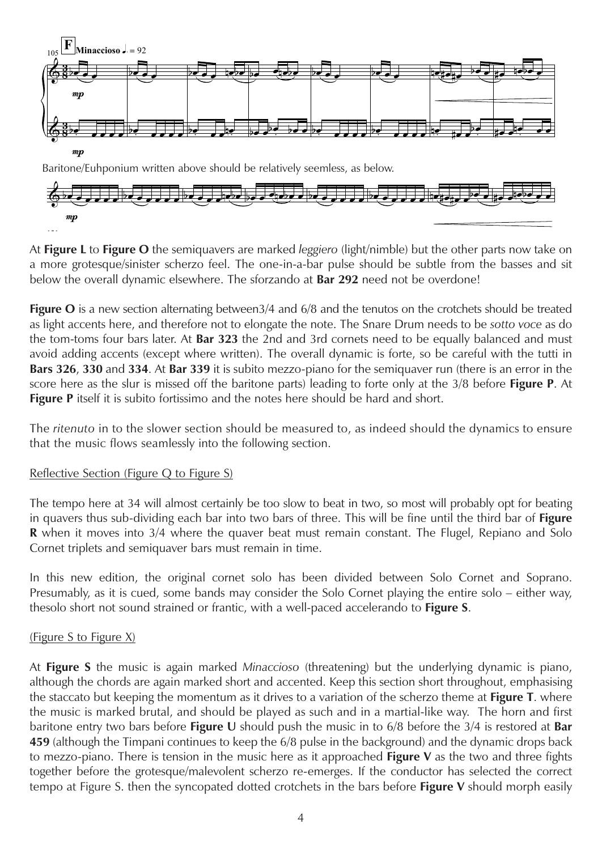

At **Figure L** to **Figure O** the semiquavers are marked *leggiero* (light/nimble) but the other parts now take on a more grotesque/sinister scherzo feel. The one-in-a-bar pulse should be subtle from the basses and sit below the overall dynamic elsewhere. The sforzando at **Bar 292** need not be overdone!

**Figure O** is a new section alternating between3/4 and 6/8 and the tenutos on the crotchets should be treated as light accents here, and therefore not to elongate the note. The Snare Drum needs to be *sotto voce* as do the tom-toms four bars later. At **Bar 323** the 2nd and 3rd cornets need to be equally balanced and must avoid adding accents (except where written). The overall dynamic is forte, so be careful with the tutti in **Bars 326**, **330** and **334**. At **Bar 339** it is subito mezzo-piano for the semiquaver run (there is an error in the score here as the slur is missed off the baritone parts) leading to forte only at the 3/8 before **Figure P**. At **Figure P** itself it is subito fortissimo and the notes here should be hard and short.

The *ritenuto* in to the slower section should be measured to, as indeed should the dynamics to ensure that the music flows seamlessly into the following section.

## Reflective Section (Figure Q to Figure S)

The tempo here at 34 will almost certainly be too slow to beat in two, so most will probably opt for beating in quavers thus sub-dividing each bar into two bars of three. This will be fine until the third bar of **Figure R** when it moves into 3/4 where the quaver beat must remain constant. The Flugel, Repiano and Solo Cornet triplets and semiquaver bars must remain in time.

In this new edition, the original cornet solo has been divided between Solo Cornet and Soprano. Presumably, as it is cued, some bands may consider the Solo Cornet playing the entire solo – either way, thesolo short not sound strained or frantic, with a well-paced accelerando to **Figure S**.

#### (Figure S to Figure X)

mp

121

At **Figure S** the music is again marked *Minaccioso* (threatening) but the underlying dynamic is piano, although the chords are again marked short and accented. Keep this section short throughout, emphasising the staccato but keeping the momentum as it drives to a variation of the scherzo theme at **Figure T**. where the music is marked brutal, and should be played as such and in a martial-like way. The horn and first baritone entry two bars before **Figure U** should push the music in to 6/8 before the 3/4 is restored at **Bar 459** (although the Timpani continues to keep the 6/8 pulse in the background) and the dynamic drops back to mezzo-piano. There is tension in the music here as it approached **Figure V** as the two and three fights together before the grotesque/malevolent scherzo re-emerges. If the conductor has selected the correct tempo at Figure S. then the syncopated dotted crotchets in the bars before **Figure V** should morph easily